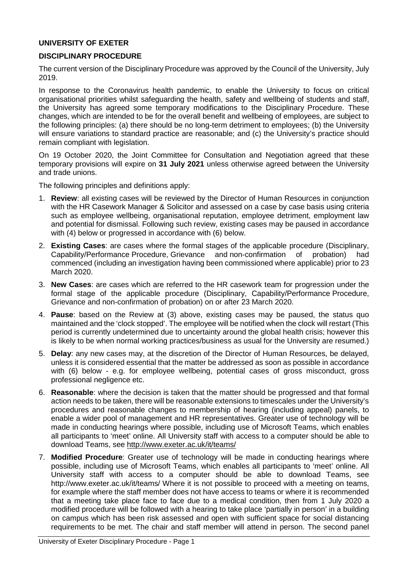### **UNIVERSITY OF EXETER**

### **DISCIPLINARY PROCEDURE**

The current version of the Disciplinary Procedure was approved by the Council of the University, July 2019.

In response to the Coronavirus health pandemic, to enable the University to focus on critical organisational priorities whilst safeguarding the health, safety and wellbeing of students and staff, the University has agreed some temporary modifications to the Disciplinary Procedure. These changes, which are intended to be for the overall benefit and wellbeing of employees, are subject to the following principles: (a) there should be no long-term detriment to employees; (b) the University will ensure variations to standard practice are reasonable; and (c) the University's practice should remain compliant with legislation.

On 19 October 2020, the Joint Committee for Consultation and Negotiation agreed that these temporary provisions will expire on **31 July 2021** unless otherwise agreed between the University and trade unions.

The following principles and definitions apply:

- 1. **Review**: all existing cases will be reviewed by the Director of Human Resources in conjunction with the HR Casework Manager & Solicitor and assessed on a case by case basis using criteria such as employee wellbeing, organisational reputation, employee detriment, employment law and potential for dismissal. Following such review, existing cases may be paused in accordance with (4) below or progressed in accordance with (6) below.
- 2. **Existing Cases**: are cases where the formal stages of the applicable procedure (Disciplinary, Capability/Performance Procedure, Grievance and non-confirmation of commenced (including an investigation having been commissioned where applicable) prior to 23 March 2020.
- 3. **New Cases**: are cases which are referred to the HR casework team for progression under the formal stage of the applicable procedure (Disciplinary, Capability/Performance Procedure, Grievance and non-confirmation of probation) on or after 23 March 2020.
- 4. **Pause**: based on the Review at (3) above, existing cases may be paused, the status quo maintained and the 'clock stopped'. The employee will be notified when the clock will restart (This period is currently undetermined due to uncertainty around the global health crisis; however this is likely to be when normal working practices/business as usual for the University are resumed.)
- 5. **Delay**: any new cases may, at the discretion of the Director of Human Resources, be delayed, unless it is considered essential that the matter be addressed as soon as possible in accordance with (6) below - e.g. for employee wellbeing, potential cases of gross misconduct, gross professional negligence etc.
- 6. **Reasonable**: where the decision is taken that the matter should be progressed and that formal action needs to be taken, there will be reasonable extensions to timescales under the University's procedures and reasonable changes to membership of hearing (including appeal) panels, to enable a wider pool of management and HR representatives. Greater use of technology will be made in conducting hearings where possible, including use of Microsoft Teams, which enables all participants to 'meet' online. All University staff with access to a computer should be able to download Teams, see <http://www.exeter.ac.uk/it/teams/>
- 7. **Modified Procedure**: Greater use of technology will be made in conducting hearings where possible, including use of Microsoft Teams, which enables all participants to 'meet' online. All University staff with access to a computer should be able to download Teams, see <http://www.exeter.ac.uk/it/teams/> Where it is not possible to proceed with a meeting on teams, for example where the staff member does not have access to teams or where it is recommended that a meeting take place face to face due to a medical condition, then from 1 July 2020 a modified procedure will be followed with a hearing to take place 'partially in person' in a building on campus which has been risk assessed and open with sufficient space for social distancing requirements to be met. The chair and staff member will attend in person. The second panel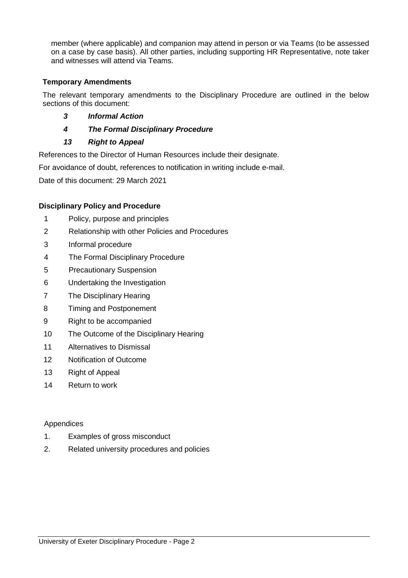member (where applicable) and companion may attend in person or via Teams (to be assessed on a case by case basis). All other parties, including supporting HR Representative, note taker and witnesses will attend via Teams.

## **Temporary Amendments**

The relevant temporary amendments to the Disciplinary Procedure are outlined in the below sections of this document:

- *3 Informal Action*
- *4 The Formal Disciplinary Procedure*
- *13 Right to Appeal*

References to the Director of Human Resources include their designate.

For avoidance of doubt, references to notification in writing include e-mail.

Date of this document: 29 March 2021

## **Disciplinary Policy and Procedure**

- 1 Policy, purpose and principles
- 2 Relationship with other Policies and Procedures
- 3 Informal procedure
- 4 The Formal Disciplinary Procedure
- 5 Precautionary Suspension
- 6 Undertaking the Investigation
- 7 The Disciplinary Hearing
- 8 Timing and Postponement
- 9 Right to be accompanied
- 10 The Outcome of the Disciplinary Hearing
- 11 Alternatives to Dismissal
- 12 Notification of Outcome
- 13 Right of Appeal
- 14 Return to work

#### Appendices

- 1. Examples of gross misconduct
- 2. Related university procedures and policies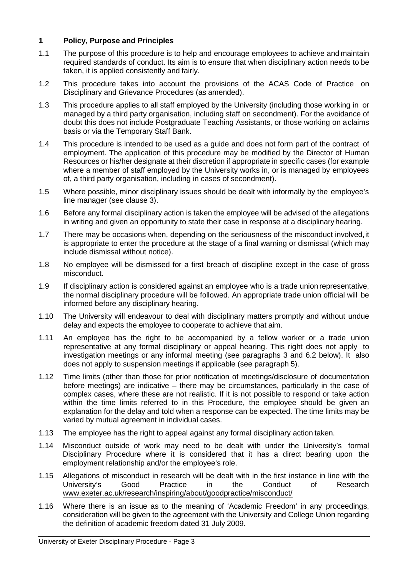### **1 Policy, Purpose and Principles**

- 1.1 The purpose of this procedure is to help and encourage employees to achieve and maintain required standards of conduct. Its aim is to ensure that when disciplinary action needs to be taken, it is applied consistently and fairly.
- 1.2 This procedure takes into account the provisions of the ACAS Code of Practice on Disciplinary and Grievance Procedures (as amended).
- 1.3 This procedure applies to all staff employed by the University (including those working in or managed by a third party organisation, including staff on secondment). For the avoidance of doubt this does not include Postgraduate Teaching Assistants, or those working on aclaims basis or via the Temporary Staff Bank.
- 1.4 This procedure is intended to be used as a guide and does not form part of the contract of employment. The application of this procedure may be modified by the Director of Human Resources or his/her designate at their discretion if appropriate in specific cases (for example where a member of staff employed by the University works in, or is managed by employees of, a third party organisation, including in cases of secondment).
- 1.5 Where possible, minor disciplinary issues should be dealt with informally by the employee's line manager (see clause 3).
- 1.6 Before any formal disciplinary action is taken the employee will be advised of the allegations in writing and given an opportunity to state their case in response at a disciplinary hearing.
- 1.7 There may be occasions when, depending on the seriousness of the misconduct involved,it is appropriate to enter the procedure at the stage of a final warning or dismissal (which may include dismissal without notice).
- 1.8 No employee will be dismissed for a first breach of discipline except in the case of gross misconduct.
- 1.9 If disciplinary action is considered against an employee who is a trade union representative, the normal disciplinary procedure will be followed. An appropriate trade union official will be informed before any disciplinary hearing.
- 1.10 The University will endeavour to deal with disciplinary matters promptly and without undue delay and expects the employee to cooperate to achieve that aim.
- 1.11 An employee has the right to be accompanied by a fellow worker or a trade union representative at any formal disciplinary or appeal hearing. This right does not apply to investigation meetings or any informal meeting (see paragraphs 3 and 6.2 below). It also does not apply to suspension meetings if applicable (see paragraph 5).
- 1.12 Time limits (other than those for prior notification of meetings/disclosure of documentation before meetings) are indicative – there may be circumstances, particularly in the case of complex cases, where these are not realistic. If it is not possible to respond or take action within the time limits referred to in this Procedure, the employee should be given an explanation for the delay and told when a response can be expected. The time limits may be varied by mutual agreement in individual cases.
- 1.13 The employee has the right to appeal against any formal disciplinary action taken.
- 1.14 Misconduct outside of work may need to be dealt with under the University's formal Disciplinary Procedure where it is considered that it has a direct bearing upon the employment relationship and/or the employee's role.
- 1.15 Allegations of misconduct in research will be dealt with in the first instance in line with the University's Good Practice in the Conduct of Research [www.exeter.ac.uk/research/inspiring/about/goodpractice/misconduct/](http://www.exeter.ac.uk/research/inspiring/about/goodpractice/misconduct/)
- 1.16 Where there is an issue as to the meaning of 'Academic Freedom' in any proceedings, consideration will be given to the agreement with the University and College Union regarding the definition of academic freedom dated 31 July 2009.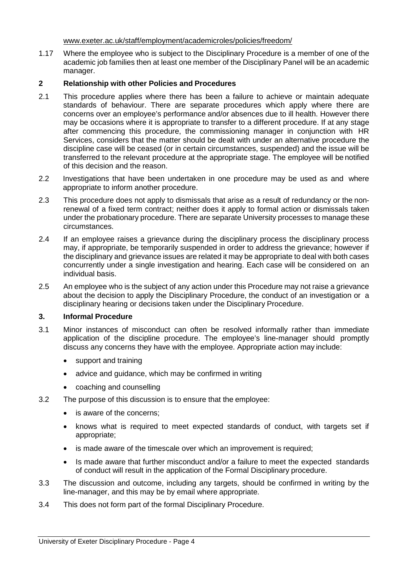[www.exeter.ac.uk/staff/employment/academicroles/policies/freedom/](http://www.exeter.ac.uk/staff/employment/academicroles/policies/freedom/)

1.17 Where the employee who is subject to the Disciplinary Procedure is a member of one of the academic job families then at least one member of the Disciplinary Panel will be an academic manager.

### **2 Relationship with other Policies and Procedures**

- 2.1 This procedure applies where there has been a failure to achieve or maintain adequate standards of behaviour. There are separate procedures which apply where there are concerns over an employee's performance and/or absences due to ill health. However there may be occasions where it is appropriate to transfer to a different procedure. If at any stage after commencing this procedure, the commissioning manager in conjunction with HR Services, considers that the matter should be dealt with under an alternative procedure the discipline case will be ceased (or in certain circumstances, suspended) and the issue will be transferred to the relevant procedure at the appropriate stage. The employee will be notified of this decision and the reason.
- 2.2 Investigations that have been undertaken in one procedure may be used as and where appropriate to inform another procedure.
- 2.3 This procedure does not apply to dismissals that arise as a result of redundancy or the nonrenewal of a fixed term contract; neither does it apply to formal action or dismissals taken under the probationary procedure. There are separate University processes to manage these circumstances.
- 2.4 If an employee raises a grievance during the disciplinary process the disciplinary process may, if appropriate, be temporarily suspended in order to address the grievance; however if the disciplinary and grievance issues are related it may be appropriate to deal with both cases concurrently under a single investigation and hearing. Each case will be considered on an individual basis.
- 2.5 An employee who is the subject of any action under this Procedure may not raise a grievance about the decision to apply the Disciplinary Procedure, the conduct of an investigation or a disciplinary hearing or decisions taken under the Disciplinary Procedure.

#### **3. Informal Procedure**

- 3.1 Minor instances of misconduct can often be resolved informally rather than immediate application of the discipline procedure. The employee's line-manager should promptly discuss any concerns they have with the employee. Appropriate action may include:
	- support and training
	- advice and guidance, which may be confirmed in writing
	- coaching and counselling
- 3.2 The purpose of this discussion is to ensure that the employee:
	- is aware of the concerns;
	- knows what is required to meet expected standards of conduct, with targets set if appropriate;
	- is made aware of the timescale over which an improvement is required;
	- Is made aware that further misconduct and/or a failure to meet the expected standards of conduct will result in the application of the Formal Disciplinary procedure.
- 3.3 The discussion and outcome, including any targets, should be confirmed in writing by the line-manager, and this may be by email where appropriate.
- 3.4 This does not form part of the formal Disciplinary Procedure.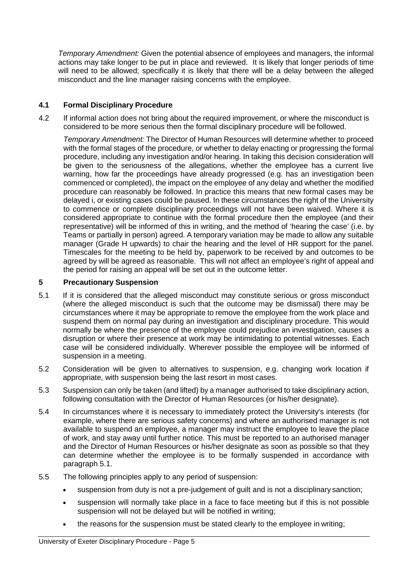*Temporary Amendment:* Given the potential absence of employees and managers, the informal actions may take longer to be put in place and reviewed. It is likely that longer periods of time will need to be allowed; specifically it is likely that there will be a delay between the alleged misconduct and the line manager raising concerns with the employee.

# **4.1 Formal Disciplinary Procedure**

4.2 If informal action does not bring about the required improvement, or where the misconduct is considered to be more serious then the formal disciplinary procedure will be followed.

*Temporary Amendment:* The Director of Human Resources will determine whether to proceed with the formal stages of the procedure, or whether to delay enacting or progressing the formal procedure, including any investigation and/or hearing. In taking this decision consideration will be given to the seriousness of the allegations, whether the employee has a current live warning, how far the proceedings have already progressed (e.g. has an investigation been commenced or completed), the impact on the employee of any delay and whether the modified procedure can reasonably be followed. In practice this means that new formal cases may be delayed i, or existing cases could be paused. In these circumstances the right of the University to commence or complete disciplinary proceedings will not have been waived. Where it is considered appropriate to continue with the formal procedure then the employee (and their representative) will be informed of this in writing, and the method of 'hearing the case' (i.e. by Teams or partially in person) agreed. A temporary variation may be made to allow any suitable manager (Grade H upwards) to chair the hearing and the level of HR support for the panel. Timescales for the meeting to be held by, paperwork to be received by and outcomes to be agreed by will be agreed as reasonable. This will not affect an employee's right of appeal and the period for raising an appeal will be set out in the outcome letter.

## **5 Precautionary Suspension**

- 5.1 If it is considered that the alleged misconduct may constitute serious or gross misconduct (where the alleged misconduct is such that the outcome may be dismissal) there may be circumstances where it may be appropriate to remove the employee from the work place and suspend them on normal pay during an investigation and disciplinary procedure. This would normally be where the presence of the employee could prejudice an investigation, causes a disruption or where their presence at work may be intimidating to potential witnesses. Each case will be considered individually. Wherever possible the employee will be informed of suspension in a meeting.
- 5.2 Consideration will be given to alternatives to suspension, e.g. changing work location if appropriate, with suspension being the last resort in most cases.
- 5.3 Suspension can only be taken (and lifted) by a manager authorised to take disciplinary action, following consultation with the Director of Human Resources (or his/her designate).
- 5.4 In circumstances where it is necessary to immediately protect the University's interests (for example, where there are serious safety concerns) and where an authorised manager is not available to suspend an employee, a manager may instruct the employee to leave the place of work, and stay away until further notice. This must be reported to an authorised manager and the Director of Human Resources or his/her designate as soon as possible so that they can determine whether the employee is to be formally suspended in accordance with paragraph 5.1.
- 5.5 The following principles apply to any period of suspension:
	- suspension from duty is not a pre-judgement of guilt and is not a disciplinary sanction;
	- suspension will normally take place in a face to face meeting but if this is not possible suspension will not be delayed but will be notified in writing;
	- the reasons for the suspension must be stated clearly to the employee in writing;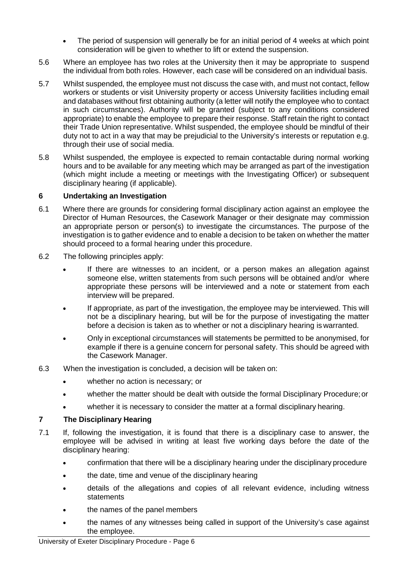- The period of suspension will generally be for an initial period of 4 weeks at which point consideration will be given to whether to lift or extend the suspension.
- 5.6 Where an employee has two roles at the University then it may be appropriate to suspend the individual from both roles. However, each case will be considered on an individual basis.
- 5.7 Whilst suspended, the employee must not discuss the case with, and must not contact, fellow workers or students or visit University property or access University facilities including email and databases without first obtaining authority (a letter will notify the employee who to contact in such circumstances). Authority will be granted (subject to any conditions considered appropriate) to enable the employee to prepare their response. Staff retain the right to contact their Trade Union representative. Whilst suspended, the employee should be mindful of their duty not to act in a way that may be prejudicial to the University's interests or reputation e.g. through their use of social media.
- 5.8 Whilst suspended, the employee is expected to remain contactable during normal working hours and to be available for any meeting which may be arranged as part of the investigation (which might include a meeting or meetings with the Investigating Officer) or subsequent disciplinary hearing (if applicable).

## **6 Undertaking an Investigation**

- 6.1 Where there are grounds for considering formal disciplinary action against an employee the Director of Human Resources, the Casework Manager or their designate may commission an appropriate person or person(s) to investigate the circumstances. The purpose of the investigation is to gather evidence and to enable a decision to be taken on whether the matter should proceed to a formal hearing under this procedure.
- 6.2 The following principles apply:
	- If there are witnesses to an incident, or a person makes an allegation against someone else, written statements from such persons will be obtained and/or where appropriate these persons will be interviewed and a note or statement from each interview will be prepared.
	- If appropriate, as part of the investigation, the employee may be interviewed. This will not be a disciplinary hearing, but will be for the purpose of investigating the matter before a decision is taken as to whether or not a disciplinary hearing is warranted.
	- Only in exceptional circumstances will statements be permitted to be anonymised, for example if there is a genuine concern for personal safety. This should be agreed with the Casework Manager.
- 6.3 When the investigation is concluded, a decision will be taken on:
	- whether no action is necessary; or
	- whether the matter should be dealt with outside the formal Disciplinary Procedure;or
	- whether it is necessary to consider the matter at a formal disciplinary hearing.

## **7 The Disciplinary Hearing**

- 7.1 If, following the investigation, it is found that there is a disciplinary case to answer, the employee will be advised in writing at least five working days before the date of the disciplinary hearing:
	- confirmation that there will be a disciplinary hearing under the disciplinary procedure
	- the date, time and venue of the disciplinary hearing
	- details of the allegations and copies of all relevant evidence, including witness statements
	- the names of the panel members
	- the names of any witnesses being called in support of the University's case against the employee.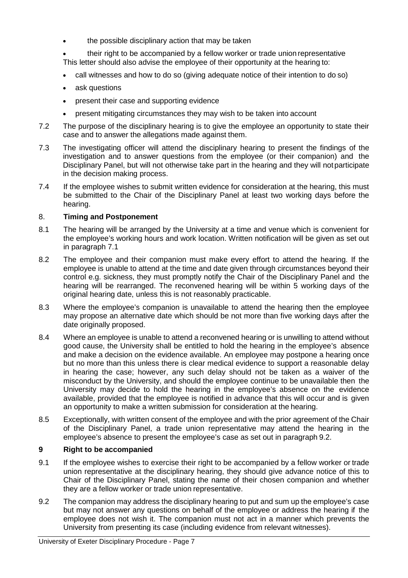the possible disciplinary action that may be taken

• their right to be accompanied by a fellow worker or trade union representative This letter should also advise the employee of their opportunity at the hearing to:

- call witnesses and how to do so (giving adequate notice of their intention to do so)
- ask questions
- present their case and supporting evidence
- present mitigating circumstances they may wish to be taken into account
- 7.2 The purpose of the disciplinary hearing is to give the employee an opportunity to state their case and to answer the allegations made against them.
- 7.3 The investigating officer will attend the disciplinary hearing to present the findings of the investigation and to answer questions from the employee (or their companion) and the Disciplinary Panel, but will not otherwise take part in the hearing and they will notparticipate in the decision making process.
- 7.4 If the employee wishes to submit written evidence for consideration at the hearing, this must be submitted to the Chair of the Disciplinary Panel at least two working days before the hearing.

#### 8. **Timing and Postponement**

- 8.1 The hearing will be arranged by the University at a time and venue which is convenient for the employee's working hours and work location. Written notification will be given as set out in paragraph 7.1
- 8.2 The employee and their companion must make every effort to attend the hearing. If the employee is unable to attend at the time and date given through circumstances beyond their control e.g. sickness, they must promptly notify the Chair of the Disciplinary Panel and the hearing will be rearranged. The reconvened hearing will be within 5 working days of the original hearing date, unless this is not reasonably practicable.
- 8.3 Where the employee's companion is unavailable to attend the hearing then the employee may propose an alternative date which should be not more than five working days after the date originally proposed.
- 8.4 Where an employee is unable to attend a reconvened hearing or is unwilling to attend without good cause, the University shall be entitled to hold the hearing in the employee's absence and make a decision on the evidence available. An employee may postpone a hearing once but no more than this unless there is clear medical evidence to support a reasonable delay in hearing the case; however, any such delay should not be taken as a waiver of the misconduct by the University, and should the employee continue to be unavailable then the University may decide to hold the hearing in the employee's absence on the evidence available, provided that the employee is notified in advance that this will occur and is given an opportunity to make a written submission for consideration at the hearing.
- 8.5 Exceptionally, with written consent of the employee and with the prior agreement of the Chair of the Disciplinary Panel, a trade union representative may attend the hearing in the employee's absence to present the employee's case as set out in paragraph 9.2.

#### **9 Right to be accompanied**

- 9.1 If the employee wishes to exercise their right to be accompanied by a fellow worker or trade union representative at the disciplinary hearing, they should give advance notice of this to Chair of the Disciplinary Panel, stating the name of their chosen companion and whether they are a fellow worker or trade union representative.
- 9.2 The companion may address the disciplinary hearing to put and sum up the employee's case but may not answer any questions on behalf of the employee or address the hearing if the employee does not wish it. The companion must not act in a manner which prevents the University from presenting its case (including evidence from relevant witnesses).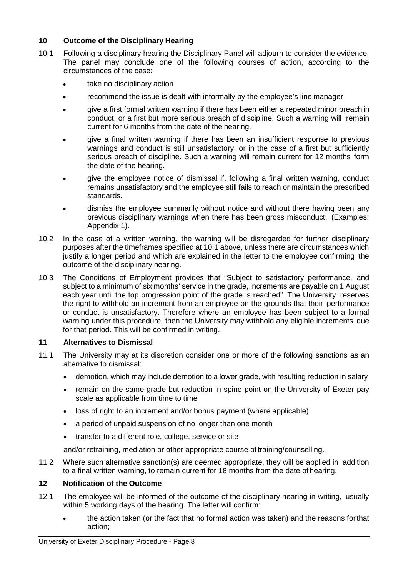## **10 Outcome of the Disciplinary Hearing**

- 10.1 Following a disciplinary hearing the Disciplinary Panel will adjourn to consider the evidence. The panel may conclude one of the following courses of action, according to the circumstances of the case:
	- take no disciplinary action
	- recommend the issue is dealt with informally by the employee's line manager
	- give a first formal written warning if there has been either a repeated minor breach in conduct, or a first but more serious breach of discipline. Such a warning will remain current for 6 months from the date of the hearing.
	- give a final written warning if there has been an insufficient response to previous warnings and conduct is still unsatisfactory, or in the case of a first but sufficiently serious breach of discipline. Such a warning will remain current for 12 months form the date of the hearing.
	- give the employee notice of dismissal if, following a final written warning, conduct remains unsatisfactory and the employee still fails to reach or maintain the prescribed standards.
	- dismiss the employee summarily without notice and without there having been any previous disciplinary warnings when there has been gross misconduct. (Examples: Appendix 1).
- 10.2 In the case of a written warning, the warning will be disregarded for further disciplinary purposes after the timeframes specified at 10.1 above, unless there are circumstances which justify a longer period and which are explained in the letter to the employee confirming the outcome of the disciplinary hearing.
- 10.3 The Conditions of Employment provides that "Subject to satisfactory performance, and subject to a minimum of six months' service in the grade, increments are payable on 1 August each year until the top progression point of the grade is reached". The University reserves the right to withhold an increment from an employee on the grounds that their performance or conduct is unsatisfactory. Therefore where an employee has been subject to a formal warning under this procedure, then the University may withhold any eligible increments due for that period. This will be confirmed in writing.

## **11 Alternatives to Dismissal**

- 11.1 The University may at its discretion consider one or more of the following sanctions as an alternative to dismissal:
	- demotion, which may include demotion to a lower grade, with resulting reduction in salary
	- remain on the same grade but reduction in spine point on the University of Exeter pay scale as applicable from time to time
	- loss of right to an increment and/or bonus payment (where applicable)
	- a period of unpaid suspension of no longer than one month
	- transfer to a different role, college, service or site

and/or retraining, mediation or other appropriate course of training/counselling.

11.2 Where such alternative sanction(s) are deemed appropriate, they will be applied in addition to a final written warning, to remain current for 18 months from the date of hearing.

## **12 Notification of the Outcome**

- 12.1 The employee will be informed of the outcome of the disciplinary hearing in writing, usually within 5 working days of the hearing. The letter will confirm:
	- the action taken (or the fact that no formal action was taken) and the reasons forthat action;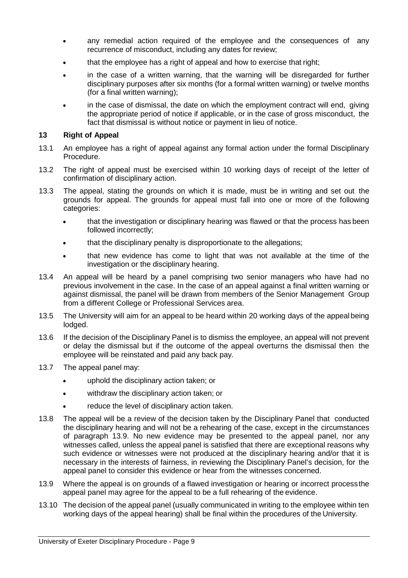- any remedial action required of the employee and the consequences of any recurrence of misconduct, including any dates for review;
- that the employee has a right of appeal and how to exercise that right;
- in the case of a written warning, that the warning will be disregarded for further disciplinary purposes after six months (for a formal written warning) or twelve months (for a final written warning);
- in the case of dismissal, the date on which the employment contract will end, giving the appropriate period of notice if applicable, or in the case of gross misconduct, the fact that dismissal is without notice or payment in lieu of notice.

#### **13 Right of Appeal**

- 13.1 An employee has a right of appeal against any formal action under the formal Disciplinary Procedure.
- 13.2 The right of appeal must be exercised within 10 working days of receipt of the letter of confirmation of disciplinary action.
- 13.3 The appeal, stating the grounds on which it is made, must be in writing and set out the grounds for appeal. The grounds for appeal must fall into one or more of the following categories:
	- that the investigation or disciplinary hearing was flawed or that the process has been followed incorrectly;
	- that the disciplinary penalty is disproportionate to the allegations;
	- that new evidence has come to light that was not available at the time of the investigation or the disciplinary hearing.
- 13.4 An appeal will be heard by a panel comprising two senior managers who have had no previous involvement in the case. In the case of an appeal against a final written warning or against dismissal, the panel will be drawn from members of the Senior Management Group from a different College or Professional Services area.
- 13.5 The University will aim for an appeal to be heard within 20 working days of the appeal being lodged.
- 13.6 If the decision of the Disciplinary Panel is to dismiss the employee, an appeal will not prevent or delay the dismissal but if the outcome of the appeal overturns the dismissal then the employee will be reinstated and paid any back pay.
- 13.7 The appeal panel may:
	- uphold the disciplinary action taken; or
	- withdraw the disciplinary action taken; or
	- reduce the level of disciplinary action taken.
- 13.8 The appeal will be a review of the decision taken by the Disciplinary Panel that conducted the disciplinary hearing and will not be a rehearing of the case, except in the circumstances of paragraph 13.9. No new evidence may be presented to the appeal panel, nor any witnesses called, unless the appeal panel is satisfied that there are exceptional reasons why such evidence or witnesses were not produced at the disciplinary hearing and/or that it is necessary in the interests of fairness, in reviewing the Disciplinary Panel's decision, for the appeal panel to consider this evidence or hear from the witnesses concerned.
- 13.9 Where the appeal is on grounds of a flawed investigation or hearing or incorrect processthe appeal panel may agree for the appeal to be a full rehearing of the evidence.
- 13.10 The decision of the appeal panel (usually communicated in writing to the employee within ten working days of the appeal hearing) shall be final within the procedures of the University.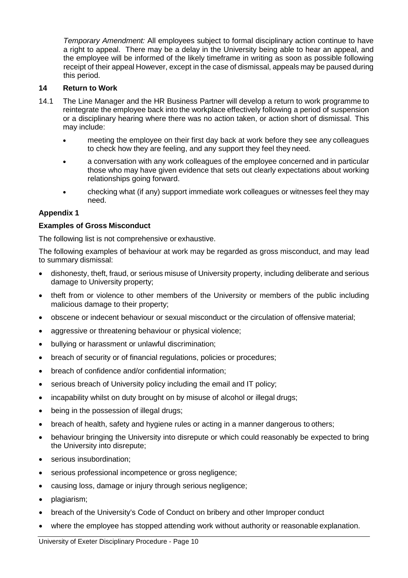*Temporary Amendment:* All employees subject to formal disciplinary action continue to have a right to appeal. There may be a delay in the University being able to hear an appeal, and the employee will be informed of the likely timeframe in writing as soon as possible following receipt of their appeal However, except in the case of dismissal, appeals may be paused during this period.

### **14 Return to Work**

- 14.1 The Line Manager and the HR Business Partner will develop a return to work programme to reintegrate the employee back into the workplace effectively following a period of suspension or a disciplinary hearing where there was no action taken, or action short of dismissal. This may include:
	- meeting the employee on their first day back at work before they see any colleagues to check how they are feeling, and any support they feel they need.
	- a conversation with any work colleagues of the employee concerned and in particular those who may have given evidence that sets out clearly expectations about working relationships going forward.
	- checking what (if any) support immediate work colleagues or witnesses feel they may need.

## **Appendix 1**

### **Examples of Gross Misconduct**

The following list is not comprehensive or exhaustive.

The following examples of behaviour at work may be regarded as gross misconduct, and may lead to summary dismissal:

- dishonesty, theft, fraud, or serious misuse of University property, including deliberate and serious damage to University property;
- theft from or violence to other members of the University or members of the public including malicious damage to their property;
- obscene or indecent behaviour or sexual misconduct or the circulation of offensive material;
- aggressive or threatening behaviour or physical violence;
- bullying or harassment or unlawful discrimination;
- breach of security or of financial regulations, policies or procedures;
- breach of confidence and/or confidential information;
- serious breach of University policy including the email and IT policy;
- incapability whilst on duty brought on by misuse of alcohol or illegal drugs;
- being in the possession of illegal drugs;
- breach of health, safety and hygiene rules or acting in a manner dangerous to others;
- behaviour bringing the University into disrepute or which could reasonably be expected to bring the University into disrepute;
- serious insubordination;
- serious professional incompetence or gross negligence;
- causing loss, damage or injury through serious negligence;
- plagiarism;
- breach of the University's Code of Conduct on bribery and other Improper conduct
- where the employee has stopped attending work without authority or reasonable explanation.